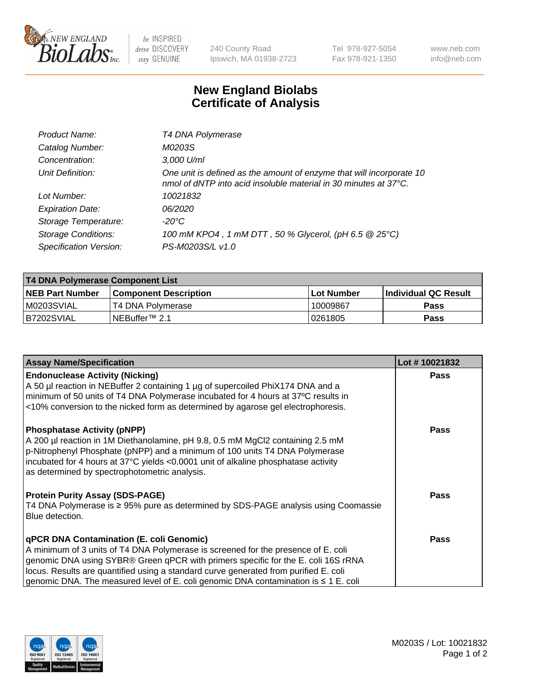

 $be$  INSPIRED drive DISCOVERY stay GENUINE

240 County Road Ipswich, MA 01938-2723 Tel 978-927-5054 Fax 978-921-1350 www.neb.com info@neb.com

## **New England Biolabs Certificate of Analysis**

| Product Name:              | T4 DNA Polymerase                                                                                                                        |
|----------------------------|------------------------------------------------------------------------------------------------------------------------------------------|
| Catalog Number:            | M0203S                                                                                                                                   |
| Concentration:             | $3,000$ U/ml                                                                                                                             |
| Unit Definition:           | One unit is defined as the amount of enzyme that will incorporate 10<br>nmol of dNTP into acid insoluble material in 30 minutes at 37°C. |
| Lot Number:                | 10021832                                                                                                                                 |
| <b>Expiration Date:</b>    | <i>06/2020</i>                                                                                                                           |
| Storage Temperature:       | -20°C                                                                                                                                    |
| <b>Storage Conditions:</b> | 100 mM KPO4, 1 mM DTT, 50 % Glycerol, (pH 6.5 @ 25°C)                                                                                    |
| Specification Version:     | PS-M0203S/L v1.0                                                                                                                         |

| T4 DNA Polymerase Component List |                            |            |                             |  |  |  |
|----------------------------------|----------------------------|------------|-----------------------------|--|--|--|
| <b>NEB Part Number</b>           | l Component Description    | Lot Number | <b>Individual QC Result</b> |  |  |  |
| M0203SVIAL                       | T4 DNA Polymerase          | 10009867   | <b>Pass</b>                 |  |  |  |
| B7202SVIAL                       | INEBuffer <sup>™</sup> 2.1 | 10261805   | Pass                        |  |  |  |

| <b>Assay Name/Specification</b>                                                                                                                                                                                                                                                                                                                                                                               | Lot #10021832 |
|---------------------------------------------------------------------------------------------------------------------------------------------------------------------------------------------------------------------------------------------------------------------------------------------------------------------------------------------------------------------------------------------------------------|---------------|
| <b>Endonuclease Activity (Nicking)</b><br>A 50 µl reaction in NEBuffer 2 containing 1 µg of supercoiled PhiX174 DNA and a<br>minimum of 50 units of T4 DNA Polymerase incubated for 4 hours at 37°C results in<br><10% conversion to the nicked form as determined by agarose gel electrophoresis.                                                                                                            | <b>Pass</b>   |
| <b>Phosphatase Activity (pNPP)</b><br>A 200 µl reaction in 1M Diethanolamine, pH 9.8, 0.5 mM MgCl2 containing 2.5 mM<br>$\vert$ p-Nitrophenyl Phosphate (pNPP) and a minimum of 100 units T4 DNA Polymerase<br>incubated for 4 hours at 37°C yields <0.0001 unit of alkaline phosphatase activity<br>as determined by spectrophotometric analysis.                                                            | <b>Pass</b>   |
| <b>Protein Purity Assay (SDS-PAGE)</b><br>T4 DNA Polymerase is ≥ 95% pure as determined by SDS-PAGE analysis using Coomassie<br>Blue detection.                                                                                                                                                                                                                                                               | <b>Pass</b>   |
| <b>qPCR DNA Contamination (E. coli Genomic)</b><br>A minimum of 3 units of T4 DNA Polymerase is screened for the presence of E. coli<br>genomic DNA using SYBR® Green qPCR with primers specific for the E. coli 16S rRNA<br>locus. Results are quantified using a standard curve generated from purified E. coli<br>genomic DNA. The measured level of E. coli genomic DNA contamination is $\leq 1$ E. coli | <b>Pass</b>   |